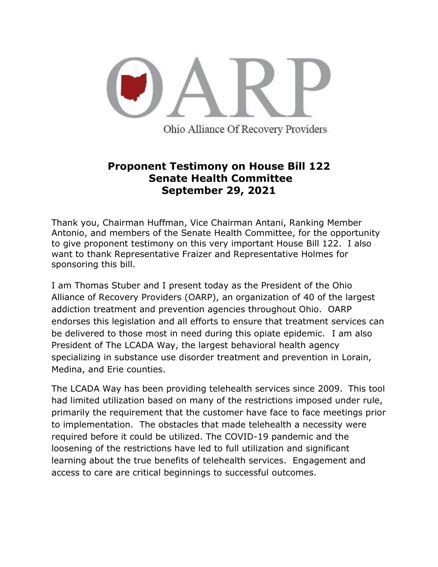

**Proponent Testimony on House Bill 122**

## **Senate Health Committee September 29, 2021**

Thank you, Chairman Huffman, Vice Chairman Antani, Ranking Member Antonio, and members of the Senate Health Committee, for the opportunity to give proponent testimony on this very important House Bill 122. I also want to thank Representative Fraizer and Representative Holmes for sponsoring this bill.

I am Thomas Stuber and I present today as the President of the Ohio Alliance of Recovery Providers (OARP), an organization of 40 of the largest addiction treatment and prevention agencies throughout Ohio. OARP endorses this legislation and all efforts to ensure that treatment services can be delivered to those most in need during this opiate epidemic. I am also President of The LCADA Way, the largest behavioral health agency specializing in substance use disorder treatment and prevention in Lorain, Medina, and Erie counties.

The LCADA Way has been providing telehealth services since 2009. This tool had limited utilization based on many of the restrictions imposed under rule, primarily the requirement that the customer have face to face meetings prior to implementation. The obstacles that made telehealth a necessity were required before it could be utilized. The COVID-19 pandemic and the loosening of the restrictions have led to full utilization and significant learning about the true benefits of telehealth services. Engagement and access to care are critical beginnings to successful outcomes.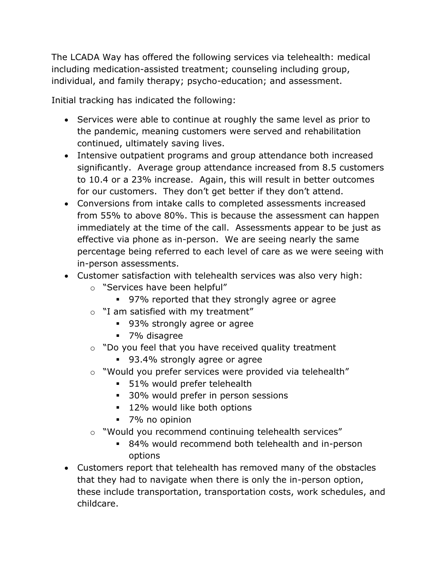The LCADA Way has offered the following services via telehealth: medical including medication-assisted treatment; counseling including group, individual, and family therapy; psycho-education; and assessment.

Initial tracking has indicated the following:

- Services were able to continue at roughly the same level as prior to the pandemic, meaning customers were served and rehabilitation continued, ultimately saving lives.
- Intensive outpatient programs and group attendance both increased significantly. Average group attendance increased from 8.5 customers to 10.4 or a 23% increase. Again, this will result in better outcomes for our customers. They don't get better if they don't attend.
- Conversions from intake calls to completed assessments increased from 55% to above 80%. This is because the assessment can happen immediately at the time of the call. Assessments appear to be just as effective via phone as in-person. We are seeing nearly the same percentage being referred to each level of care as we were seeing with in-person assessments.
- Customer satisfaction with telehealth services was also very high:
	- o "Services have been helpful"
		- 97% reported that they strongly agree or agree
	- o "I am satisfied with my treatment"
		- 93% strongly agree or agree
		- 7% disagree
	- $\circ$  "Do you feel that you have received quality treatment
		- 93.4% strongly agree or agree
	- o "Would you prefer services were provided via telehealth"
		- 51% would prefer telehealth
		- 30% would prefer in person sessions
		- 12% would like both options
		- 7% no opinion
	- o "Would you recommend continuing telehealth services"
		- 84% would recommend both telehealth and in-person options
- Customers report that telehealth has removed many of the obstacles that they had to navigate when there is only the in-person option, these include transportation, transportation costs, work schedules, and childcare.